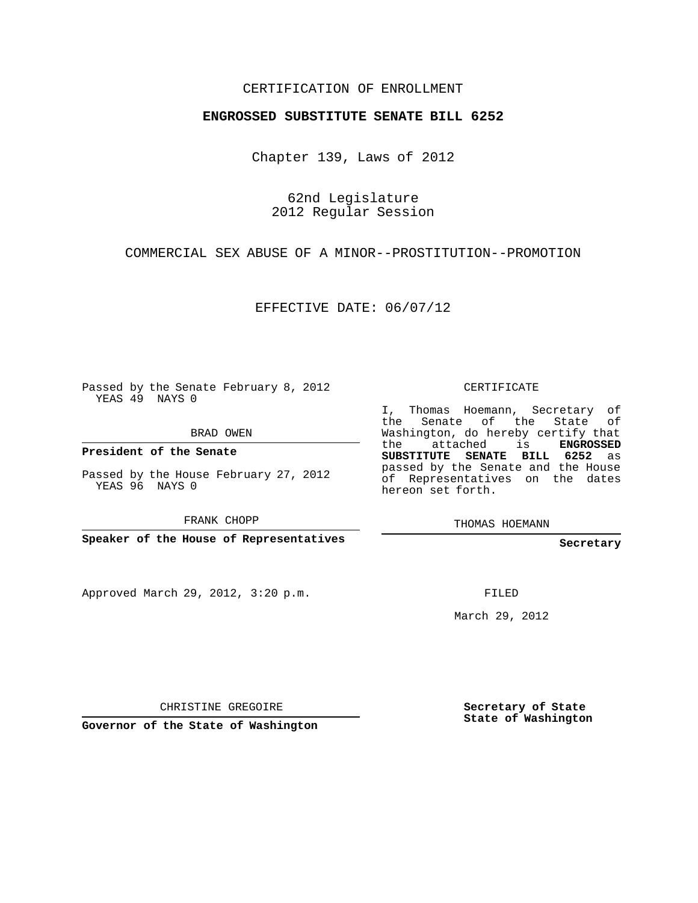## CERTIFICATION OF ENROLLMENT

## **ENGROSSED SUBSTITUTE SENATE BILL 6252**

Chapter 139, Laws of 2012

62nd Legislature 2012 Regular Session

COMMERCIAL SEX ABUSE OF A MINOR--PROSTITUTION--PROMOTION

EFFECTIVE DATE: 06/07/12

Passed by the Senate February 8, 2012 YEAS 49 NAYS 0

BRAD OWEN

**President of the Senate**

Passed by the House February 27, 2012 YEAS 96 NAYS 0

FRANK CHOPP

**Speaker of the House of Representatives**

Approved March 29, 2012, 3:20 p.m.

CERTIFICATE

I, Thomas Hoemann, Secretary of the Senate of the State of Washington, do hereby certify that the attached is **ENGROSSED SUBSTITUTE SENATE BILL 6252** as passed by the Senate and the House of Representatives on the dates hereon set forth.

THOMAS HOEMANN

**Secretary**

FILED

March 29, 2012

CHRISTINE GREGOIRE

**Governor of the State of Washington**

**Secretary of State State of Washington**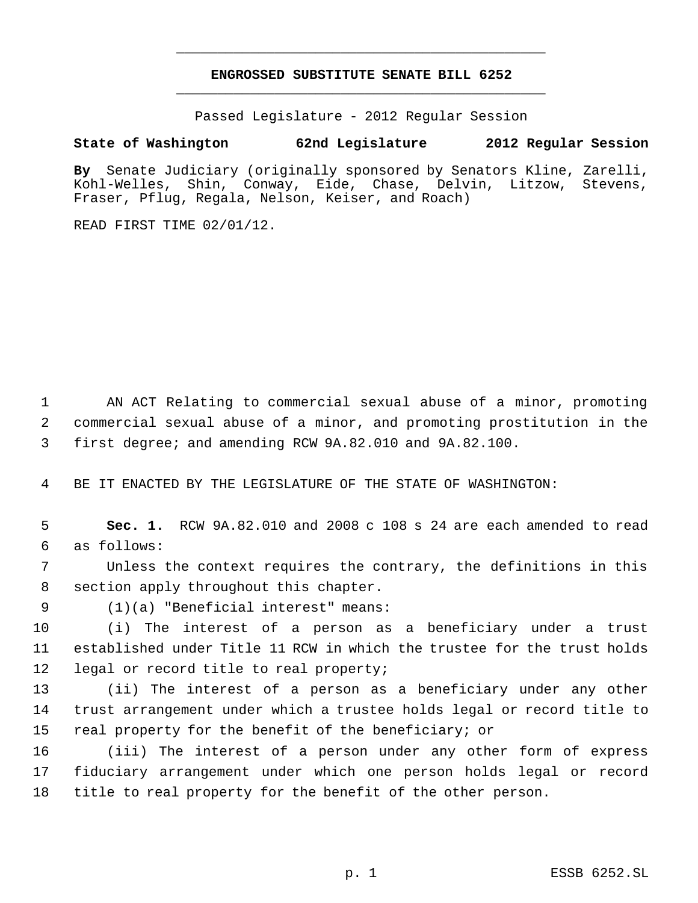## **ENGROSSED SUBSTITUTE SENATE BILL 6252** \_\_\_\_\_\_\_\_\_\_\_\_\_\_\_\_\_\_\_\_\_\_\_\_\_\_\_\_\_\_\_\_\_\_\_\_\_\_\_\_\_\_\_\_\_

\_\_\_\_\_\_\_\_\_\_\_\_\_\_\_\_\_\_\_\_\_\_\_\_\_\_\_\_\_\_\_\_\_\_\_\_\_\_\_\_\_\_\_\_\_

Passed Legislature - 2012 Regular Session

## **State of Washington 62nd Legislature 2012 Regular Session**

**By** Senate Judiciary (originally sponsored by Senators Kline, Zarelli, Kohl-Welles, Shin, Conway, Eide, Chase, Delvin, Litzow, Stevens, Fraser, Pflug, Regala, Nelson, Keiser, and Roach)

READ FIRST TIME 02/01/12.

 AN ACT Relating to commercial sexual abuse of a minor, promoting commercial sexual abuse of a minor, and promoting prostitution in the first degree; and amending RCW 9A.82.010 and 9A.82.100.

BE IT ENACTED BY THE LEGISLATURE OF THE STATE OF WASHINGTON:

 **Sec. 1.** RCW 9A.82.010 and 2008 c 108 s 24 are each amended to read as follows:

 Unless the context requires the contrary, the definitions in this section apply throughout this chapter.

(1)(a) "Beneficial interest" means:

 (i) The interest of a person as a beneficiary under a trust established under Title 11 RCW in which the trustee for the trust holds legal or record title to real property;

 (ii) The interest of a person as a beneficiary under any other trust arrangement under which a trustee holds legal or record title to real property for the benefit of the beneficiary; or

 (iii) The interest of a person under any other form of express fiduciary arrangement under which one person holds legal or record title to real property for the benefit of the other person.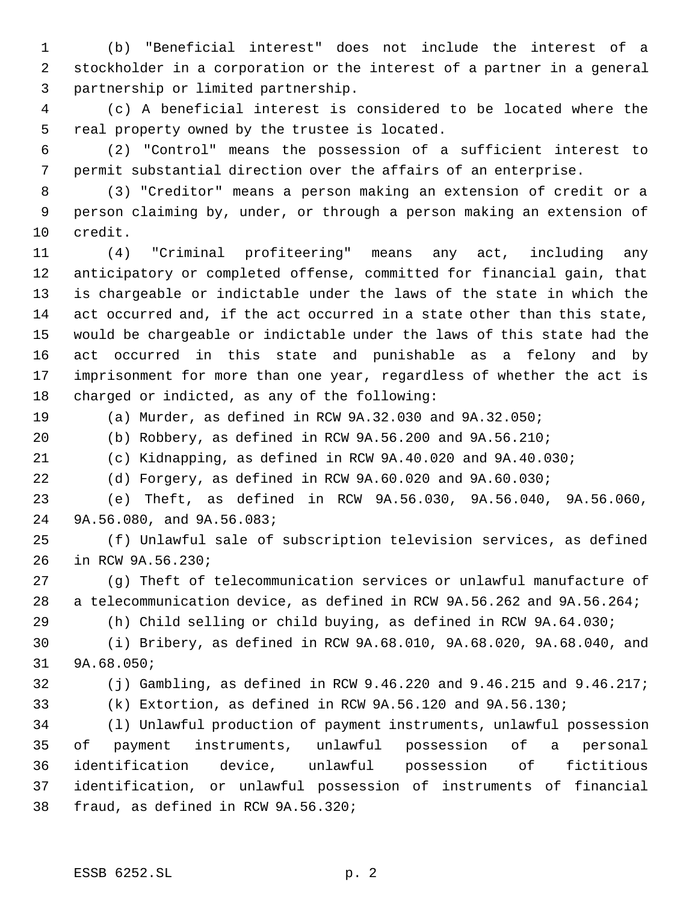(b) "Beneficial interest" does not include the interest of a stockholder in a corporation or the interest of a partner in a general partnership or limited partnership.

 (c) A beneficial interest is considered to be located where the real property owned by the trustee is located.

 (2) "Control" means the possession of a sufficient interest to permit substantial direction over the affairs of an enterprise.

 (3) "Creditor" means a person making an extension of credit or a person claiming by, under, or through a person making an extension of credit.

 (4) "Criminal profiteering" means any act, including any anticipatory or completed offense, committed for financial gain, that is chargeable or indictable under the laws of the state in which the act occurred and, if the act occurred in a state other than this state, would be chargeable or indictable under the laws of this state had the act occurred in this state and punishable as a felony and by imprisonment for more than one year, regardless of whether the act is charged or indicted, as any of the following:

(a) Murder, as defined in RCW 9A.32.030 and 9A.32.050;

(b) Robbery, as defined in RCW 9A.56.200 and 9A.56.210;

(c) Kidnapping, as defined in RCW 9A.40.020 and 9A.40.030;

(d) Forgery, as defined in RCW 9A.60.020 and 9A.60.030;

 (e) Theft, as defined in RCW 9A.56.030, 9A.56.040, 9A.56.060, 9A.56.080, and 9A.56.083;

 (f) Unlawful sale of subscription television services, as defined in RCW 9A.56.230;

 (g) Theft of telecommunication services or unlawful manufacture of a telecommunication device, as defined in RCW 9A.56.262 and 9A.56.264;

(h) Child selling or child buying, as defined in RCW 9A.64.030;

 (i) Bribery, as defined in RCW 9A.68.010, 9A.68.020, 9A.68.040, and 9A.68.050;

(j) Gambling, as defined in RCW 9.46.220 and 9.46.215 and 9.46.217;

(k) Extortion, as defined in RCW 9A.56.120 and 9A.56.130;

 (l) Unlawful production of payment instruments, unlawful possession of payment instruments, unlawful possession of a personal identification device, unlawful possession of fictitious identification, or unlawful possession of instruments of financial fraud, as defined in RCW 9A.56.320;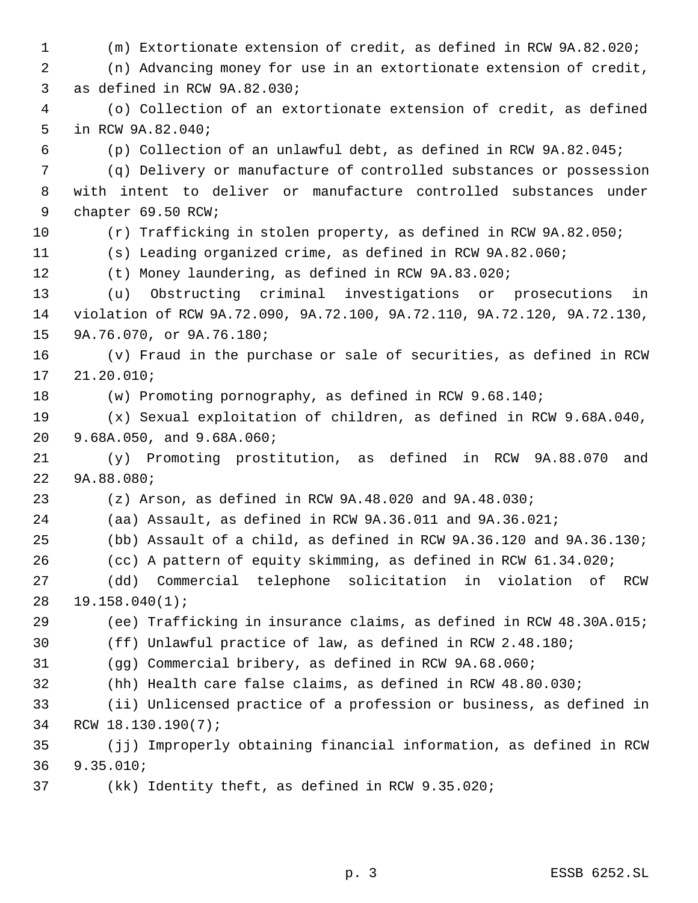(m) Extortionate extension of credit, as defined in RCW 9A.82.020; (n) Advancing money for use in an extortionate extension of credit, as defined in RCW 9A.82.030; (o) Collection of an extortionate extension of credit, as defined in RCW 9A.82.040; (p) Collection of an unlawful debt, as defined in RCW 9A.82.045; (q) Delivery or manufacture of controlled substances or possession with intent to deliver or manufacture controlled substances under chapter 69.50 RCW; (r) Trafficking in stolen property, as defined in RCW 9A.82.050; (s) Leading organized crime, as defined in RCW 9A.82.060; (t) Money laundering, as defined in RCW 9A.83.020; (u) Obstructing criminal investigations or prosecutions in violation of RCW 9A.72.090, 9A.72.100, 9A.72.110, 9A.72.120, 9A.72.130, 9A.76.070, or 9A.76.180; (v) Fraud in the purchase or sale of securities, as defined in RCW 21.20.010; (w) Promoting pornography, as defined in RCW 9.68.140; (x) Sexual exploitation of children, as defined in RCW 9.68A.040, 9.68A.050, and 9.68A.060; (y) Promoting prostitution, as defined in RCW 9A.88.070 and 9A.88.080; (z) Arson, as defined in RCW 9A.48.020 and 9A.48.030; (aa) Assault, as defined in RCW 9A.36.011 and 9A.36.021; (bb) Assault of a child, as defined in RCW 9A.36.120 and 9A.36.130; (cc) A pattern of equity skimming, as defined in RCW 61.34.020; (dd) Commercial telephone solicitation in violation of RCW 19.158.040(1); (ee) Trafficking in insurance claims, as defined in RCW 48.30A.015; (ff) Unlawful practice of law, as defined in RCW 2.48.180; (gg) Commercial bribery, as defined in RCW 9A.68.060; (hh) Health care false claims, as defined in RCW 48.80.030; (ii) Unlicensed practice of a profession or business, as defined in RCW 18.130.190(7); (jj) Improperly obtaining financial information, as defined in RCW 9.35.010; (kk) Identity theft, as defined in RCW 9.35.020;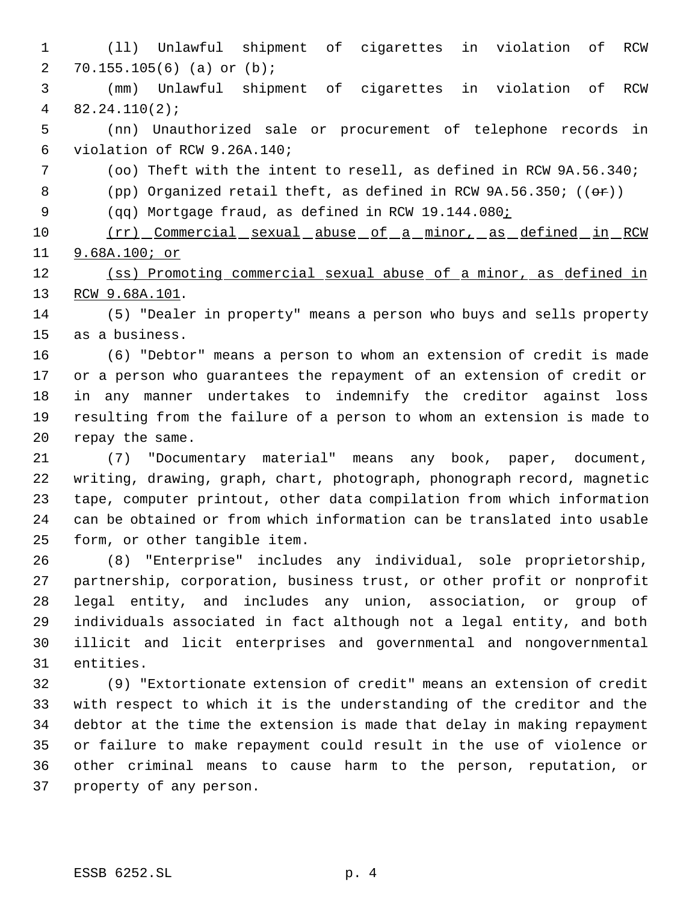(ll) Unlawful shipment of cigarettes in violation of RCW 70.155.105(6) (a) or (b);

 (mm) Unlawful shipment of cigarettes in violation of RCW 82.24.110(2);

 (nn) Unauthorized sale or procurement of telephone records in violation of RCW 9.26A.140;

- (oo) Theft with the intent to resell, as defined in RCW 9A.56.340;
- 8 (pp) Organized retail theft, as defined in RCW  $9A.56.350$ ; (( $\theta$ r))

9 (qq) Mortgage fraud, as defined in RCW 19.144.080<u>;</u>

10 (rr) Commercial sexual abuse of a minor, as defined in RCW 9.68A.100; or

12 (ss) Promoting commercial sexual abuse of a minor, as defined in RCW 9.68A.101.

 (5) "Dealer in property" means a person who buys and sells property as a business.

 (6) "Debtor" means a person to whom an extension of credit is made or a person who guarantees the repayment of an extension of credit or in any manner undertakes to indemnify the creditor against loss resulting from the failure of a person to whom an extension is made to repay the same.

 (7) "Documentary material" means any book, paper, document, writing, drawing, graph, chart, photograph, phonograph record, magnetic tape, computer printout, other data compilation from which information can be obtained or from which information can be translated into usable form, or other tangible item.

 (8) "Enterprise" includes any individual, sole proprietorship, partnership, corporation, business trust, or other profit or nonprofit legal entity, and includes any union, association, or group of individuals associated in fact although not a legal entity, and both illicit and licit enterprises and governmental and nongovernmental entities.

 (9) "Extortionate extension of credit" means an extension of credit with respect to which it is the understanding of the creditor and the debtor at the time the extension is made that delay in making repayment or failure to make repayment could result in the use of violence or other criminal means to cause harm to the person, reputation, or property of any person.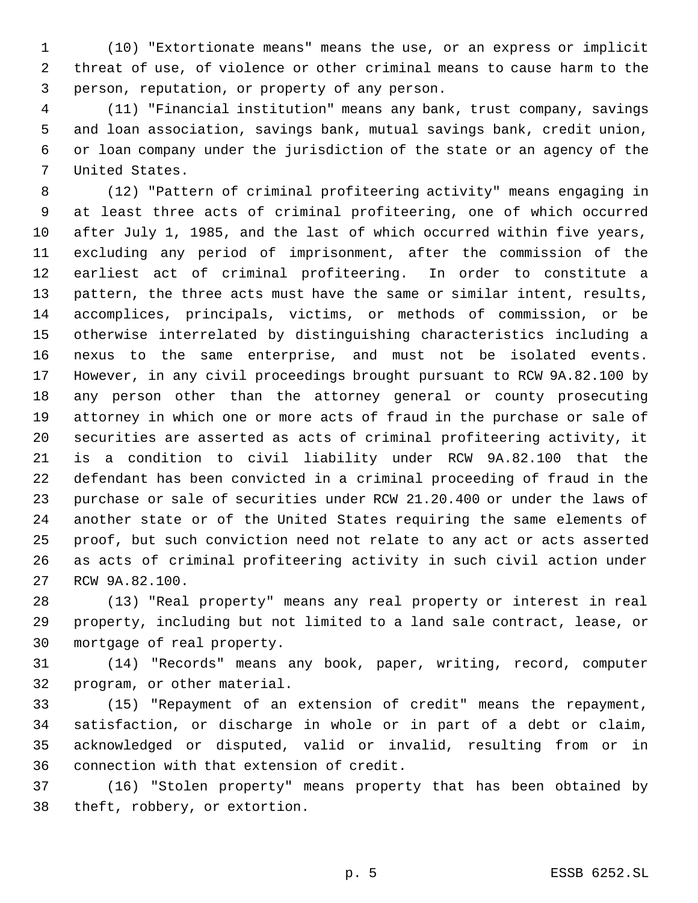(10) "Extortionate means" means the use, or an express or implicit threat of use, of violence or other criminal means to cause harm to the person, reputation, or property of any person.

 (11) "Financial institution" means any bank, trust company, savings and loan association, savings bank, mutual savings bank, credit union, or loan company under the jurisdiction of the state or an agency of the United States.

 (12) "Pattern of criminal profiteering activity" means engaging in at least three acts of criminal profiteering, one of which occurred after July 1, 1985, and the last of which occurred within five years, excluding any period of imprisonment, after the commission of the earliest act of criminal profiteering. In order to constitute a pattern, the three acts must have the same or similar intent, results, accomplices, principals, victims, or methods of commission, or be otherwise interrelated by distinguishing characteristics including a nexus to the same enterprise, and must not be isolated events. However, in any civil proceedings brought pursuant to RCW 9A.82.100 by any person other than the attorney general or county prosecuting attorney in which one or more acts of fraud in the purchase or sale of securities are asserted as acts of criminal profiteering activity, it is a condition to civil liability under RCW 9A.82.100 that the defendant has been convicted in a criminal proceeding of fraud in the purchase or sale of securities under RCW 21.20.400 or under the laws of another state or of the United States requiring the same elements of proof, but such conviction need not relate to any act or acts asserted as acts of criminal profiteering activity in such civil action under RCW 9A.82.100.

 (13) "Real property" means any real property or interest in real property, including but not limited to a land sale contract, lease, or mortgage of real property.

 (14) "Records" means any book, paper, writing, record, computer program, or other material.

 (15) "Repayment of an extension of credit" means the repayment, satisfaction, or discharge in whole or in part of a debt or claim, acknowledged or disputed, valid or invalid, resulting from or in connection with that extension of credit.

 (16) "Stolen property" means property that has been obtained by theft, robbery, or extortion.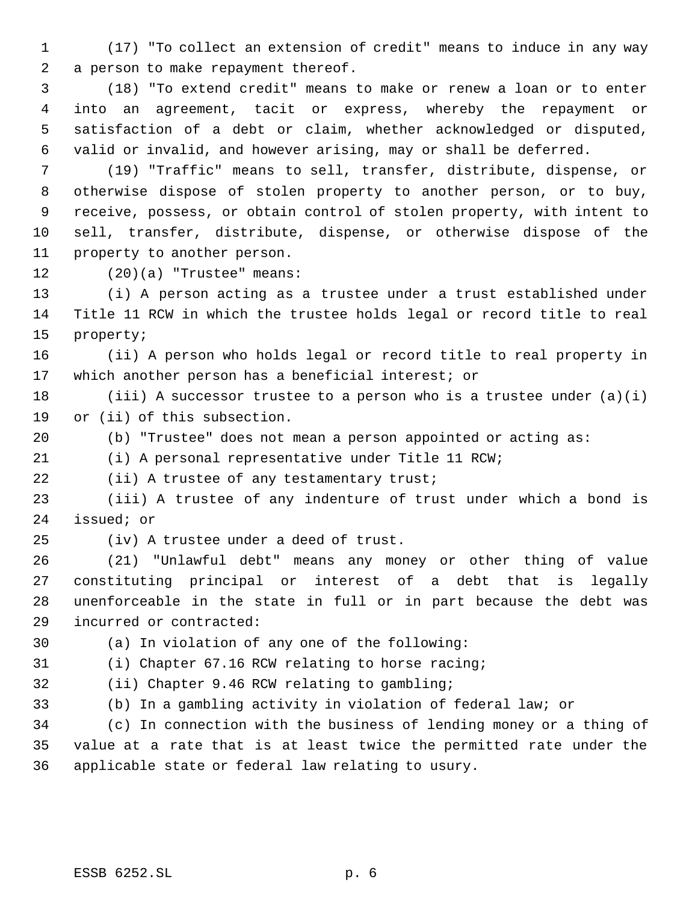(17) "To collect an extension of credit" means to induce in any way a person to make repayment thereof.

 (18) "To extend credit" means to make or renew a loan or to enter into an agreement, tacit or express, whereby the repayment or satisfaction of a debt or claim, whether acknowledged or disputed, valid or invalid, and however arising, may or shall be deferred.

 (19) "Traffic" means to sell, transfer, distribute, dispense, or otherwise dispose of stolen property to another person, or to buy, receive, possess, or obtain control of stolen property, with intent to sell, transfer, distribute, dispense, or otherwise dispose of the property to another person.

(20)(a) "Trustee" means:

 (i) A person acting as a trustee under a trust established under Title 11 RCW in which the trustee holds legal or record title to real property;

 (ii) A person who holds legal or record title to real property in which another person has a beneficial interest; or

18 (iii) A successor trustee to a person who is a trustee under  $(a)(i)$ or (ii) of this subsection.

(b) "Trustee" does not mean a person appointed or acting as:

(i) A personal representative under Title 11 RCW;

(ii) A trustee of any testamentary trust;

 (iii) A trustee of any indenture of trust under which a bond is issued; or

(iv) A trustee under a deed of trust.

 (21) "Unlawful debt" means any money or other thing of value constituting principal or interest of a debt that is legally unenforceable in the state in full or in part because the debt was incurred or contracted:

(a) In violation of any one of the following:

(i) Chapter 67.16 RCW relating to horse racing;

(ii) Chapter 9.46 RCW relating to gambling;

(b) In a gambling activity in violation of federal law; or

 (c) In connection with the business of lending money or a thing of value at a rate that is at least twice the permitted rate under the applicable state or federal law relating to usury.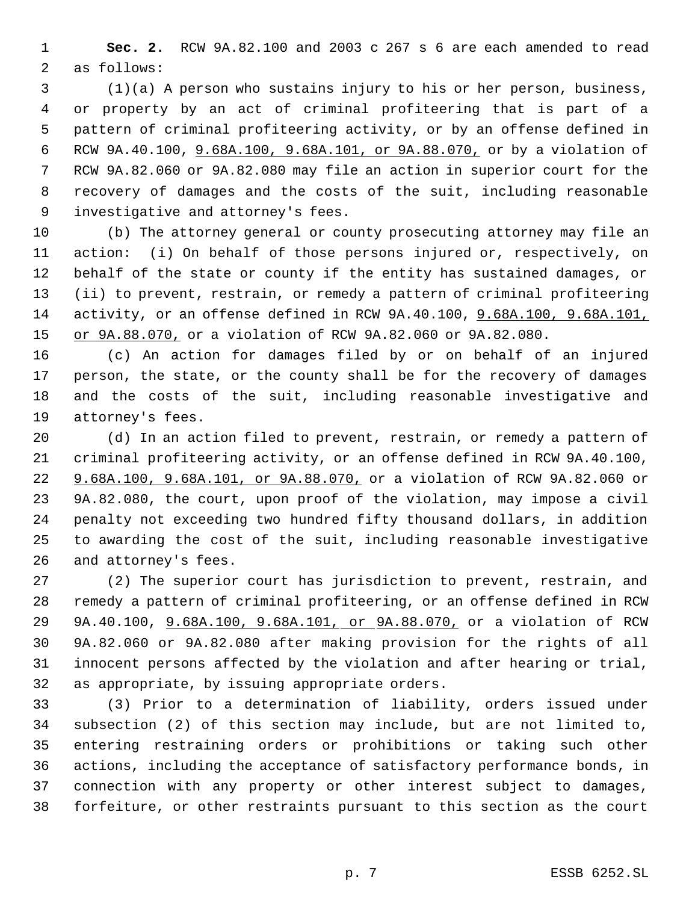**Sec. 2.** RCW 9A.82.100 and 2003 c 267 s 6 are each amended to read as follows:

 (1)(a) A person who sustains injury to his or her person, business, or property by an act of criminal profiteering that is part of a pattern of criminal profiteering activity, or by an offense defined in RCW 9A.40.100, 9.68A.100, 9.68A.101, or 9A.88.070, or by a violation of RCW 9A.82.060 or 9A.82.080 may file an action in superior court for the recovery of damages and the costs of the suit, including reasonable investigative and attorney's fees.

 (b) The attorney general or county prosecuting attorney may file an action: (i) On behalf of those persons injured or, respectively, on behalf of the state or county if the entity has sustained damages, or (ii) to prevent, restrain, or remedy a pattern of criminal profiteering activity, or an offense defined in RCW 9A.40.100, 9.68A.100, 9.68A.101, 15 or 9A.88.070, or a violation of RCW 9A.82.060 or 9A.82.080.

 (c) An action for damages filed by or on behalf of an injured person, the state, or the county shall be for the recovery of damages and the costs of the suit, including reasonable investigative and attorney's fees.

 (d) In an action filed to prevent, restrain, or remedy a pattern of criminal profiteering activity, or an offense defined in RCW 9A.40.100, 9.68A.100, 9.68A.101, or 9A.88.070, or a violation of RCW 9A.82.060 or 9A.82.080, the court, upon proof of the violation, may impose a civil penalty not exceeding two hundred fifty thousand dollars, in addition to awarding the cost of the suit, including reasonable investigative and attorney's fees.

 (2) The superior court has jurisdiction to prevent, restrain, and remedy a pattern of criminal profiteering, or an offense defined in RCW 9A.40.100, 9.68A.100, 9.68A.101, or 9A.88.070, or a violation of RCW 9A.82.060 or 9A.82.080 after making provision for the rights of all innocent persons affected by the violation and after hearing or trial, as appropriate, by issuing appropriate orders.

 (3) Prior to a determination of liability, orders issued under subsection (2) of this section may include, but are not limited to, entering restraining orders or prohibitions or taking such other actions, including the acceptance of satisfactory performance bonds, in connection with any property or other interest subject to damages, forfeiture, or other restraints pursuant to this section as the court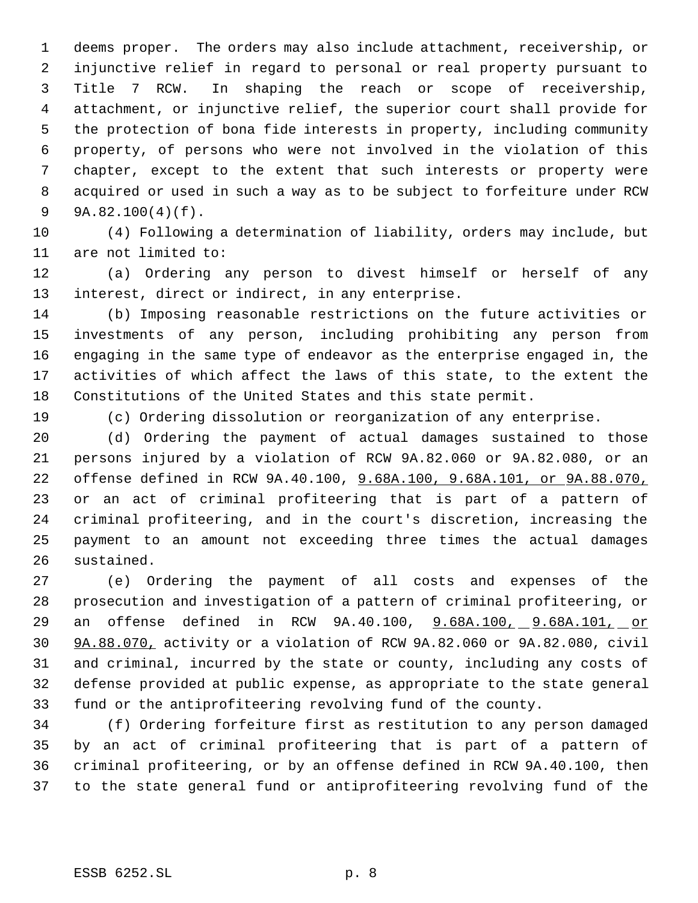deems proper. The orders may also include attachment, receivership, or injunctive relief in regard to personal or real property pursuant to Title 7 RCW. In shaping the reach or scope of receivership, attachment, or injunctive relief, the superior court shall provide for the protection of bona fide interests in property, including community property, of persons who were not involved in the violation of this chapter, except to the extent that such interests or property were acquired or used in such a way as to be subject to forfeiture under RCW 9A.82.100(4)(f).

 (4) Following a determination of liability, orders may include, but are not limited to:

 (a) Ordering any person to divest himself or herself of any interest, direct or indirect, in any enterprise.

 (b) Imposing reasonable restrictions on the future activities or investments of any person, including prohibiting any person from engaging in the same type of endeavor as the enterprise engaged in, the activities of which affect the laws of this state, to the extent the Constitutions of the United States and this state permit.

(c) Ordering dissolution or reorganization of any enterprise.

 (d) Ordering the payment of actual damages sustained to those persons injured by a violation of RCW 9A.82.060 or 9A.82.080, or an offense defined in RCW 9A.40.100, 9.68A.100, 9.68A.101, or 9A.88.070, or an act of criminal profiteering that is part of a pattern of criminal profiteering, and in the court's discretion, increasing the payment to an amount not exceeding three times the actual damages sustained.

 (e) Ordering the payment of all costs and expenses of the prosecution and investigation of a pattern of criminal profiteering, or 29 an offense defined in RCW 9A.40.100, 9.68A.100, 9.68A.101, or 9A.88.070, activity or a violation of RCW 9A.82.060 or 9A.82.080, civil and criminal, incurred by the state or county, including any costs of defense provided at public expense, as appropriate to the state general fund or the antiprofiteering revolving fund of the county.

 (f) Ordering forfeiture first as restitution to any person damaged by an act of criminal profiteering that is part of a pattern of criminal profiteering, or by an offense defined in RCW 9A.40.100, then to the state general fund or antiprofiteering revolving fund of the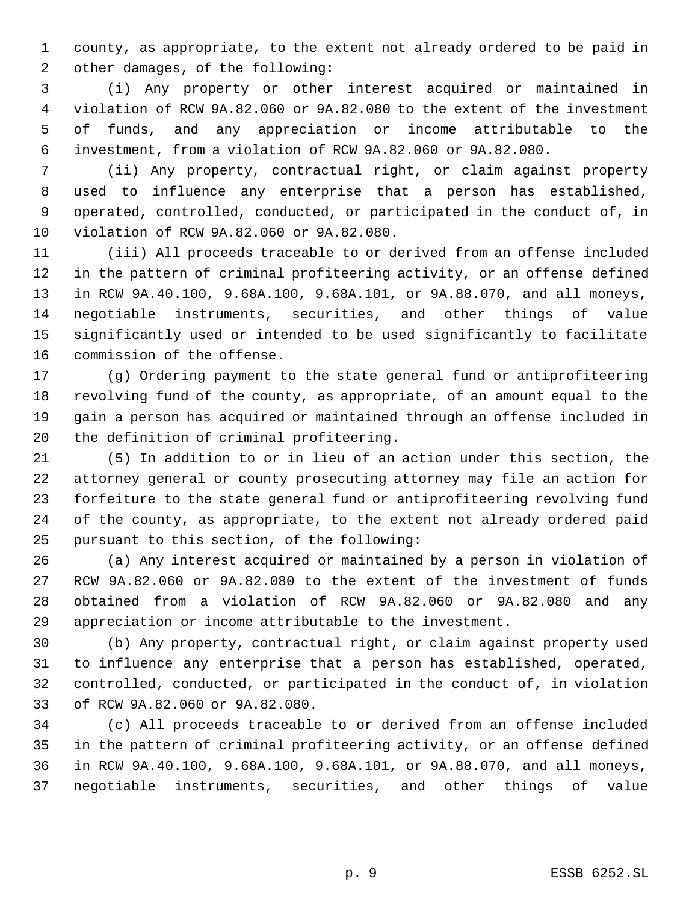county, as appropriate, to the extent not already ordered to be paid in other damages, of the following:

 (i) Any property or other interest acquired or maintained in violation of RCW 9A.82.060 or 9A.82.080 to the extent of the investment of funds, and any appreciation or income attributable to the investment, from a violation of RCW 9A.82.060 or 9A.82.080.

 (ii) Any property, contractual right, or claim against property used to influence any enterprise that a person has established, operated, controlled, conducted, or participated in the conduct of, in violation of RCW 9A.82.060 or 9A.82.080.

 (iii) All proceeds traceable to or derived from an offense included in the pattern of criminal profiteering activity, or an offense defined 13 in RCW 9A.40.100, 9.68A.100, 9.68A.101, or 9A.88.070, and all moneys, negotiable instruments, securities, and other things of value significantly used or intended to be used significantly to facilitate commission of the offense.

 (g) Ordering payment to the state general fund or antiprofiteering revolving fund of the county, as appropriate, of an amount equal to the gain a person has acquired or maintained through an offense included in the definition of criminal profiteering.

 (5) In addition to or in lieu of an action under this section, the attorney general or county prosecuting attorney may file an action for forfeiture to the state general fund or antiprofiteering revolving fund of the county, as appropriate, to the extent not already ordered paid pursuant to this section, of the following:

 (a) Any interest acquired or maintained by a person in violation of RCW 9A.82.060 or 9A.82.080 to the extent of the investment of funds obtained from a violation of RCW 9A.82.060 or 9A.82.080 and any appreciation or income attributable to the investment.

 (b) Any property, contractual right, or claim against property used to influence any enterprise that a person has established, operated, controlled, conducted, or participated in the conduct of, in violation of RCW 9A.82.060 or 9A.82.080.

 (c) All proceeds traceable to or derived from an offense included in the pattern of criminal profiteering activity, or an offense defined in RCW 9A.40.100, 9.68A.100, 9.68A.101, or 9A.88.070, and all moneys, negotiable instruments, securities, and other things of value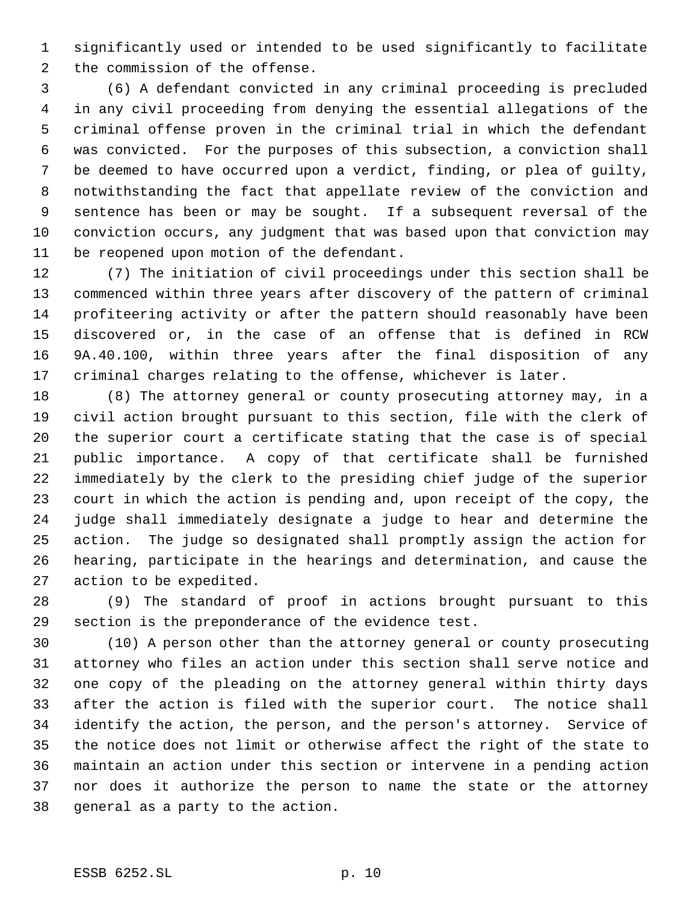significantly used or intended to be used significantly to facilitate the commission of the offense.

 (6) A defendant convicted in any criminal proceeding is precluded in any civil proceeding from denying the essential allegations of the criminal offense proven in the criminal trial in which the defendant was convicted. For the purposes of this subsection, a conviction shall be deemed to have occurred upon a verdict, finding, or plea of guilty, notwithstanding the fact that appellate review of the conviction and sentence has been or may be sought. If a subsequent reversal of the conviction occurs, any judgment that was based upon that conviction may be reopened upon motion of the defendant.

 (7) The initiation of civil proceedings under this section shall be commenced within three years after discovery of the pattern of criminal profiteering activity or after the pattern should reasonably have been discovered or, in the case of an offense that is defined in RCW 9A.40.100, within three years after the final disposition of any criminal charges relating to the offense, whichever is later.

 (8) The attorney general or county prosecuting attorney may, in a civil action brought pursuant to this section, file with the clerk of the superior court a certificate stating that the case is of special public importance. A copy of that certificate shall be furnished immediately by the clerk to the presiding chief judge of the superior court in which the action is pending and, upon receipt of the copy, the judge shall immediately designate a judge to hear and determine the action. The judge so designated shall promptly assign the action for hearing, participate in the hearings and determination, and cause the action to be expedited.

 (9) The standard of proof in actions brought pursuant to this section is the preponderance of the evidence test.

 (10) A person other than the attorney general or county prosecuting attorney who files an action under this section shall serve notice and one copy of the pleading on the attorney general within thirty days after the action is filed with the superior court. The notice shall identify the action, the person, and the person's attorney. Service of the notice does not limit or otherwise affect the right of the state to maintain an action under this section or intervene in a pending action nor does it authorize the person to name the state or the attorney general as a party to the action.